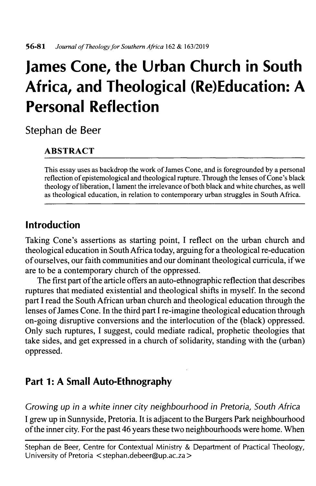# **James Cone, the Urban Church in South Africa, and Theological (Re)Education: A Personal Reflection**

Stephan de Beer

# **ABSTRACT**

**This essay uses as backdrop the work ofJames Cone, and is foregrounded by a personal reflection ofepistemological and theological rupture. Through the lenses ofCone's black theology ofliberation, <sup>I</sup> lament the irrelevance ofboth black and white churches, as well as theological education, in relation to contemporary urban struggles in South Africa.**

# **Introduction**

Taking Cone's assertions as starting point, I reflect on the urban church and theological education in SouthAfrica today, arguing for a theological re-education of ourselves, our faith communities and our dominant theological curricula, if we are to be a contemporary church of the oppressed.

The first part of the article offers an auto-ethnographic reflection that describes ruptures that mediated existential and theological shifts in myself. In the second part I read the South African urban church and theological education through the lenses of James Cone. In the third part I re-imagine theological education through on-going disruptive conversions and the interlocution of the (black) oppressed. Only such ruptures, I suggest, could mediate radical, prophetic theologies that take sides, and get expressed in a church of solidarity, standing with the (urban) oppressed.

# **Part 1: A Small Auto-Ethnography**

*Crowing up in a white inner city neighbourhood in Pretoria, South Africa* I grew up in Sunnyside, Pretoria. It is adjacent to the Burgers Park neighbourhood ofthe inner city. For the past 46 years these two neighbourhoods were home. When

Stephan de Beer, Centre for Contextual Ministry & Department of Practical Theology, University of Pretoria [<stephan.debeer@up.ac.za](mailto:stephan.debeer@up.ac.za)>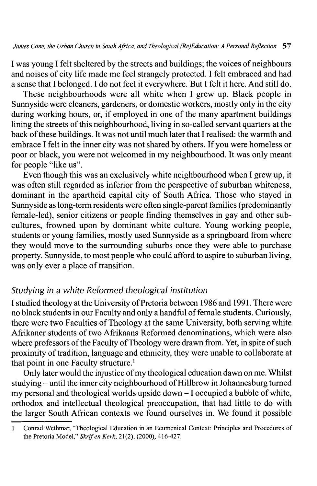I was young I felt sheltered by the streets and buildings; the voices of neighbours and noises of city life made me feel strangely protected. I felt embraced and had a sense that I belonged. I do not feel it everywhere. But I felt it here. And still do.

These neighbourhoods were all white when I grew up. Black people in Sunnyside were cleaners, gardeners, or domestic workers, mostly only in the city during working hours, or, if employed in one of the many apartment buildings lining the streets of this neighbourhood, living in so-called servant quarters at the back of these buildings. It was not until much later that I realised: the warmth and embrace I felt in the inner city was not shared by others. If you were homeless or poor or black, you were not welcomed in my neighbourhood. It was only meant for people "like us".

Even though this was an exclusively white neighbourhood when I grew up, it was often still regarded as inferior from the perspective of suburban whiteness, dominant in the apartheid capital city of South Africa. Those who stayed in Sunnyside as long-termresidents were often single-parent families (predominantly female-led), senior citizens or people finding themselves in gay and other subcultures, frowned upon by dominant white culture. Young working people, students or young families, mostly used Sunnyside as a springboard from where they would move to the surrounding suburbs once they were able to purchase property. Sunnyside, to most people who could afford to aspire to suburban living, was only ever a place of transition.

#### *Studying in a white Reformed theological institution*

I studied theology at the University of Pretoria between 1986 and 1991. There were no black students in our Faculty and only a handful of female students. Curiously, there were two Faculties of Theology at the same University, both serving white Afrikaner students of two Afrikaans Reformed denominations, which were also where professors of the Faculty of Theology were drawn from. Yet, in spite of such proximity of tradition, language and ethnicity, they were unable to collaborate at that point in one Faculty structure.<sup>1</sup>

Only later would the injustice of my theological education dawn on me. Whilst studying – until the inner city neighbourhood of Hillbrow in Johannesburg turned my personal and theological worlds upside down  $-1$  occupied a bubble of white, orthodox and intellectual theological preoccupation, that had little to do with the larger South African contexts we found ourselves in. We found it possible

**<sup>1</sup> Conrad Wethmar, "Theological Education in an Ecumenical Context: Principles and Procedures of the Pretoria Model,"** *Skrifen Kerk,* **21(2), (2000), 416-427.**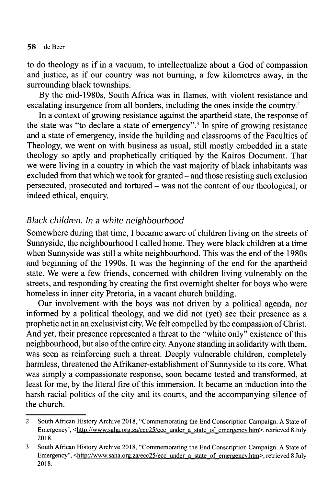to do theology as if in a vacuum, to intellectualize about a God of compassion and justice, as if our country was not burning, a few kilometres away, in the surrounding black townships.

By the mid-1980s, South Africa was in flames, with violent resistance and escalating insurgence from all borders, including the ones inside the country.<sup>2</sup>

In a context of growing resistance against the apartheid state, the response of the state was "to declare a state of emergency".3 In spite of growing resistance and a state of emergency, inside the building and classrooms of the Faculties of Theology, we went on with business as usual, still mostly embedded in a state theology so aptly and prophetically critiqued by the Kairos Document. That we were living in a country in which the vast majority of black inhabitants was excluded from that which we took for granted – and those resisting such exclusion persecuted, prosecuted and tortured - was not the content of our theological, or indeed ethical, enquiry.

## *Black children. In a white neighbourhood*

Somewhere during that time, I became aware of children living on the streets of Sunnyside, the neighbourhood I called home. They were black children at a time when Sunnyside was still a white neighbourhood. This was the end of the 1980s and beginning of the 1990s. It was the beginning of the end for the apartheid state. We were a few friends, concerned with children living vulnerably on the streets, and responding by creating the first overnight shelter for boys who were homeless in inner city Pretoria, in a vacant church building.

Our involvement with the boys was not driven by a political agenda, nor informed by a political theology, and we did not (yet) see their presence as a prophetic act in an exclusivist city. We felt compelled by the compassion of Christ. And yet, their presence represented a threat to the "white only" existence of this neighbourhood, but also of the entire city. Anyone standing in solidarity with them, was seen as reinforcing such a threat. Deeply vulnerable children, completely harmless, threatened the Afrikaner-establishment of Sunnyside to its core. What was simply a compassionate response, soon became tested and transformed, at least for me, by the literal fire of this immersion. It became an induction into the harsh racial politics of the city and its courts, and the accompanying silence of the church.

**<sup>2</sup> South African History Archive 2018, "Commemorating the End Conscription Campaign. A State of Emergency', [<http://www.saha.org.za/ecc25/ecc\\_under](http://www.saha.org.za/ecc25/ecc_under_a_state_of_emergencv.htm) a state of\_emergencv.htm>. retrieved 8 July 2018.**

**<sup>3</sup> South African History Archive 2018, "Commemorating the End Conscription Campaign. A State of Emergency", <[http://www.saha.org.za/ecc25/ecc](http://www.saha.org.za/ecc25/ecc_under_a_state_of_emergencv.htm) under a\_state\_of\_emergencv.htm>. retrieved 8 July 2018.**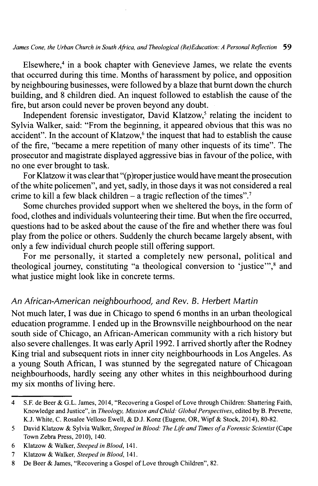#### *James Cone, the Urban Church in South Africa, and Theological (Re)Education: A Personal Reflection* **59**

Elsewhere,<sup>4</sup> in a book chapter with Genevieve James, we relate the events that occurred during this time. Months of harassment by police, and opposition by neighbouring businesses, were followed by a blaze that burnt down the church building, and 8 children died. An inquest followed to establish the cause of the fire, but arson could never be proven beyond any doubt.

Independent forensic investigator, David Klatzow,<sup>5</sup> relating the incident to Sylvia Walker, said: "From the beginning, it appeared obvious that this was no accident". In the account of Klatzow, $6$  the inquest that had to establish the cause of the fire, "became a mere repetition of many other inquests of its time". The prosecutor and magistrate displayed aggressive bias in favour of the police, with no one ever brought to task.

For Klatzow it was clear that " $(p)$ roper justice would have meant the prosecution ofthe white policemen", and yet, sadly, in those days it was not considered a real crime to kill a few black children – a tragic reflection of the times".<sup>7</sup>

Some churches provided support when we sheltered the boys, in the form of food, clothes and individuals volunteering their time. But when the fire occurred, questions had to be asked about the cause of the fire and whether there was foul play from the police or others. Suddenly the church became largely absent, with only a few individual church people still offering support.

For me personally, it started a completely new personal, political and theological journey, constituting "a theological conversion to 'justice'",<sup>8</sup> and what justice might look like in concrete terms.

#### *An African-American neighbourhood***,** *and Rev. B. Herbert Martin*

Not much later, I was due in Chicago to spend 6 months in an urban theological education programme. I ended up in the Brownsville neighbourhood on the near south side of Chicago, an African-American community with a rich history but also severe challenges. It was early April 1992.1 arrived shortly after the Rodney King trial and subsequent riots in inner city neighbourhoods in Los Angeles. As a young South African, I was stunned by the segregated nature of Chicagoan neighbourhoods, hardly seeing any other whites in this neighbourhood during my six months of living here.

**<sup>4</sup> S.F. de Beer & G.L. James, 2014, "Recovering a Gospel ofLove through Children: Shattering Faith, Knowledge and Justice", in** *Theology, Mission and Child: GlobalPerspectives***, edited by B. Preverte, K.J. White, C. Rosalee Velloso Ewell, & D.J. Konz (Eugene, OR, Wipf & Stock, 2014), 8082 .**

**<sup>5</sup> David Klatzow & Sylvia Walker,** *Steeped in Blood: The Life and Times ofa Forensic Scientist* **(Cape Town Zebra Press, 2010), 140.**

**<sup>6</sup> Klatzow & Walker,** *Steeped in Blood***, 141.**

**<sup>7</sup> Klatzow & Walker,** *Steeped in Blood***, 141.**

**<sup>8</sup> De Beer & James, "Recovering a Gospel ofLove through Children", 82.**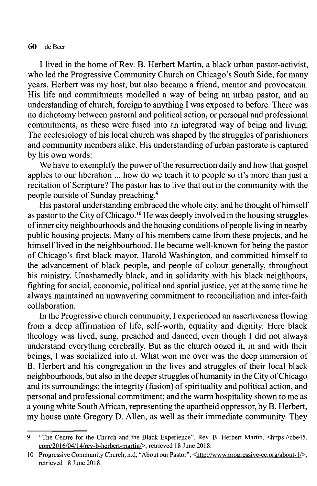I lived in the home of Rev. B. Herbert Martin, a black urban pastor-activist, who led the Progressive Community Church on Chicago's South Side, for many years. Herbert was my host, but also became a friend, mentor and provocateur. His life and commitments modelled a way of being an urban pastor, and an understanding of church, foreign to anything I was exposed to before. There was no dichotomy between pastoral and political action, or personal and professional commitments, as these were fused into an integrated way of being and living. The ecclesiology of his local church was shaped by the struggles of parishioners and community members alike. His understanding of urban pastorate is captured by his own words:

We have to exemplify the power of the resurrection daily and how that gospel applies to our liberation ... how do we teach it to people so it's more than just a recitation of Scripture? The pastor has to live that out in the community with the people outside of Sunday preaching.9

His pastoral understanding embraced the whole city, and he thought of himself as pastor to the City of Chicago.<sup>10</sup> He was deeply involved in the housing struggles of inner city neighbourhoods and the housing conditions of people living in nearby public housing projects. Many of his members came from these projects, and he himself lived in the neighbourhood. He became well-known for being the pastor of Chicago's first black mayor, Harold Washington, and committed himself to the advancement of black people, and people of colour generally, throughout his ministry. Unashamedly black, and in solidarity with his black neighbours, fighting for social, economic, political and spatial justice, yet at the same time he always maintained an unwavering commitment to reconciliation and inter-faith collaboration.

In the Progressive church community, I experienced an assertiveness flowing from a deep affirmation of life, self-worth, equality and dignity. Here black theology was lived, sung, preached and danced, even though I did not always understand everything cerebrally. But as the church oozed it, in and with their beings, I was socialized into it. What won me over was the deep immersion of B. Herbert and his congregation in the lives and struggles of their local black neighbourhoods, but also in the deeper struggles of humanity in the City of Chicago and its surroundings; the integrity (fusion) of spirituality and political action, and personal and professional commitment; and the warm hospitality shown to me as a young white SouthAfrican, representing the apartheid oppressor, by B. Herbert, my house mate Gregory D. Allen, as well as their immediate community. They

**<sup>9</sup> "The Centre for the Church and the Black Experience", Rev. B. Herbert Martin, [<https://cbe45.](https://cbe45.com/2016/04/14/rev-b-herbert-martin/) [com/2016/04/14/rev-b-herbert-martin/>](https://cbe45.com/2016/04/14/rev-b-herbert-martin/). retrieved 18 June 2018.**

**<sup>10</sup> Progressive Community Church, n.d, "About our Pastor", [<http://www,progressive-cc.org/about-1/](http://www,progressive-cc.org/about-1_/)>. retrieved 18 June 2018.**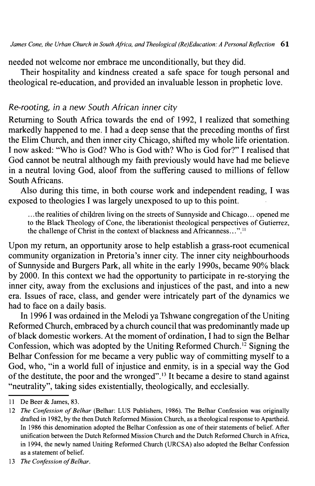needed not welcome nor embrace me unconditionally, but they did.

Their hospitality and kindness created a safe space for tough personal and theological re-education, and provided an invaluable lesson in prophetic love.

#### *Re-rooting, in* a *new South African inner city*

Returning to South Africa towards the end of 1992, I realized that something markedly happened to me. I had a deep sense that the preceding months of first the Elim Church, and then inner city Chicago, shifted my whole life orientation. I now asked: "Who is God? Who is God with? Who is God for?" I realised that God cannot be neutral although my faith previously would have had me believe in a neutral loving God, aloof from the suffering caused to millions of fellow South Africans.

Also during this time, in both course work and independent reading, I was exposed to theologies I was largely unexposed to up to this point.

**.. .the realities of children living on the streets of Sunnyside and Chicago... opened me to the Black Theology of Cone, the liberationist theological perspectives of Gutierrez, the challenge of Christ in the context ofblackness and Africanness**...".11

Upon my return, an opportunity arose to help establish a grass-root ecumenical community organization in Pretoria's inner city. The inner city neighbourhoods of Sunnyside and Burgers Park, all white in the early 1990s, became 90% black by 2000. In this context we had the opportunity to participate in re-storying the inner city, away from the exclusions and injustices of the past, and into a new era. Issues of race, class, and gender were intricately part of the dynamics we had to face on a daily basis.

In 1996 I was ordained in the Melodi ya Tshwane congregation of the Uniting Reformed Church, embraced by a church council that was predominantly made up of black domestic workers. At the moment of ordination, I had to sign the Belhar Confession, which was adopted by the Uniting Reformed Church.12 Signing the Belhar Confession for me became a very public way of committing myself to a God, who, "in a world full of injustice and enmity, is in a special way the God of the destitute, the poor and the wronged".<sup>13</sup> It became a desire to stand against "neutrality", taking sides existentially, theologically, and ecclesially.

**II De Beer & James, 83.**

**<sup>12</sup>** *The Confession ofBelhar* **(Belhar: LUS Publishers, 1986). The Belhar Confession was originally drafted in 1982, by the then Dutch Reformed Mission Church, as a theological response to Apartheid. In 1986 this denomination adopted the Belhar Confession as one oftheir statements of belief. After unification between the Dutch Reformed Mission Church and the Dutch Reformed Church in Africa, in 1994, the newly named Uniting Reformed Church (URCSA) also adopted the Belhar Confession as a statement ofbelief.**

<sup>13</sup> *The Confession of Belhar.*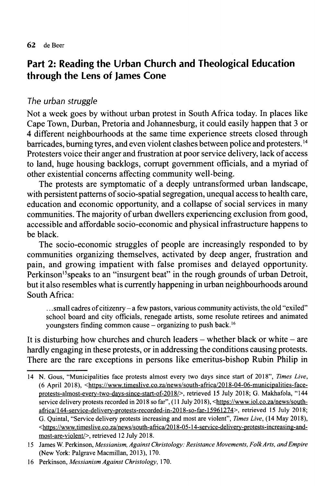# **Part 2: Reading the Urban Church and Theological Education through the Lens of James Cone**

## *The urban struggle*

Not a week goes by without urban protest in South Africa today. In places like Cape Town, Durban, Pretoria and Johannesburg, it could easily happen that 3 or 4 different neighbourhoods at the same time experience streets closed through barricades, burning tyres, and even violent clashes between police and protesters.<sup>14</sup> Protesters voice their anger and frustration at poor service delivery, lack of access to land, huge housing backlogs, corrupt government officials, and a myriad of other existential concerns affecting community well-being.

The protests are symptomatic of a deeply untransformed urban landscape, with persistent patterns of socio-spatial segregation, unequal access to health care, education and economic opportunity, and a collapse of social services in many communities. The majority of urban dwellers experiencing exclusion from good, accessible and affordable socio-economic and physical infrastructure happens to be black.

The socio-economic struggles of people are increasingly responded to by communities organizing themselves, activated by deep anger, frustration and pain, and growing impatient with false promises and delayed opportunity. Perkinson<sup>15</sup>speaks to an "insurgent beat" in the rough grounds of urban Detroit, but it also resembles what is currently happening in urban neighbourhoods around South Africa:

**.. .small cadres ofcitizenry - <sup>a</sup> few pastors, various community activists, the old "exiled" school board and city officials, renegade artists, some resolute retirees and animated youngsters finding common cause - organizing to push back**.16

It is disturbing how churches and church leaders  $-$  whether black or white  $-$  are hardly engaging in these protests, or in addressing the conditions causing protests. There are the rare exceptions in persons like emeritus-bishop Rubin Philip in

**<sup>14</sup> N. Gous, "Municipalities face protests almost every two days since start of 2018",** *Times Live***, (6 April 2018), [<https://www.timeslive.co.za/news/south-africa/2018-04-06-municipalities-face](https://www.timeslive.co.za/news/south-africa/2018-04-06-municipalities-face-protests-almost-everv%d6%betwo-davs-since%d6%bestart%d6%beof-2018/)[protests-almost-everv](https://www.timeslive.co.za/news/south-africa/2018-04-06-municipalities-face-protests-almost-everv%d6%betwo-davs-since%d6%bestart%d6%beof-2018/) two-davs-since start of-2018/>. retrieved 15 July 2018; G. Makhafola, "144 service delivery protests recorded in 2018 so far", ( 11 July 2018), [<https://www.iol.co.za/news/south](https://www.iol.co.za/news/south%d6%beafrica/144%d6%beservice-deliverv-protests-recorded%d6%bein2018%d6%be-so-far-15961274) africa/144 [service-deliverv-protests-recorded־in2018](https://www.iol.co.za/news/south%d6%beafrica/144%d6%beservice-deliverv-protests-recorded%d6%bein2018%d6%be-so-far-15961274) -so-far-15961274>. retrieved <sup>15</sup> July 2018; G. Quintal, "Service delivery protests increasing and most are violent",** *Times Live,* **(14 May 2018), <[https://www.timeslive.co.za/news/south-africa/2018-05-14-service-deliverv-protests-increasing-and](https://www.timeslive.co.za/news/south-africa/2018-05-14-service-deliverv-protests-increasing-and-)most-are-violent/>. retrieved 12 July 2018.**

**<sup>15</sup> James W. Perkinson,** *Messianism, Against Christology: Resistance Movements, FolkArts, andEmpire* **(New York: Palgrave Macmillan, 2013), 170.**

**<sup>16</sup> Perkinson,** *Messianism Against Christology,* **170.**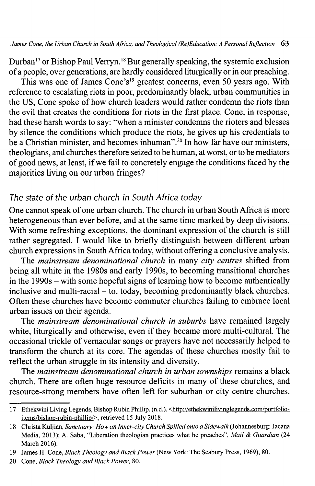Durban<sup>17</sup> or Bishop Paul Verryn.<sup>18</sup> But generally speaking, the systemic exclusion ofa people, over generations, are hardly considered liturgically or in our preaching.

This was one of James Cone's<sup>19</sup> greatest concerns, even 50 years ago. With reference to escalating riots in poor, predominantly black, urban communities in the US, Cone spoke of how church leaders would rather condemn the riots than the evil that creates the conditions for riots in the first place. Cone, in response, had these harsh words to say: "when a minister condemns the rioters and blesses by silence the conditions which produce the riots, he gives up his credentials to be a Christian minister, and becomes inhuman".20 In how far have our ministers, theologians, and churches therefore seized to be human, at worst, or to be mediators ofgood news, at least, ifwe fail to concretely engage the conditions faced by the majorities living on our urban fringes?

#### *The state ofthe urban church in South Africa today*

One cannot speak ofone urban church. The church in urban South Africa is more heterogeneous than ever before, and at the same time marked by deep divisions. With some refreshing exceptions, the dominant expression of the church is still rather segregated. I would like to briefly distinguish between different urban church expressions in South Africa today, without offering a conclusive analysis.

The *mainstream denominational church* in many *city centres* shifted from being all white in the 1980s and early 1990s, to becoming transitional churches in the  $1990s$  – with some hopeful signs of learning how to become authentically inclusive and multi-racial  $-$  to, today, becoming predominantly black churches. Often these churches have become commuter churches failing to embrace local urban issues on their agenda.

The *mainstream denominational church in suburbs* have remained largely white, liturgically and otherwise, even if they became more multi-cultural. The occasional trickle of vernacular songs or prayers have not necessarily helped to transform the church at its core. The agendas of these churches mostly fail to reflect the urban struggle in its intensity and diversity.

The *mainstream denominational church in urban townships* remains a black church. There are often huge resource deficits in many of these churches, and resource-strong members have often left for suburban or city centre churches.

**<sup>17</sup> Ethekwini Living Legends, Bishop Rubin Phillip, (n.d.). [<http://ethekwinilivinglegends.com/portfolio](http://ethekwinilivinglegends.com/portfolio%d6%beitems/bishop%d6%berubin%d6%bephillip/) [items/bishop](http://ethekwinilivinglegends.com/portfolio%d6%beitems/bishop%d6%berubin%d6%bephillip/) rubin phillip/>. retrieved 15 July 2018.**

**<sup>18</sup> Christa Kuljian,** *Sanctuary: How an Inner-city Church Spilled onto a Sidewalk* **(Johannesburg: Jacana Media, 2013); A. Saba, "Liberation theologian practices what he preaches",** *Mail & Guardian* **(24 March 2016).**

**<sup>19</sup> James H. Cone,** *Black Theology andBlack Power* **(New York: The Seabury Press, 1969), 80.**

<sup>20</sup> Cone, *Black Theology and Black Power*, 80.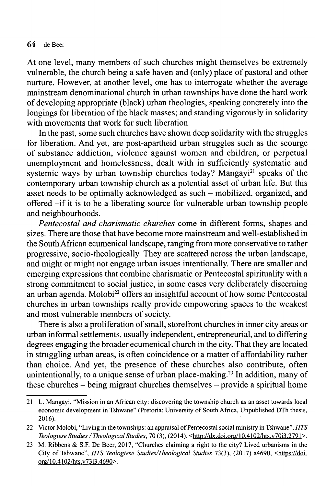At one level, many members of such churches might themselves be extremely vulnerable, the church being a safe haven and (only) place of pastoral and other nurture. However, at another level, one has to interrogate whether the average mainstream denominational church in urban townships have done the hard work ofdeveloping appropriate (black) urban theologies, speaking concretely into the longings for liberation of the black masses; and standing vigorously in solidarity with movements that work for such liberation.

In the past, some such churches have shown deep solidarity with the struggles for liberation. And yet, are post-apartheid urban struggles such as the scourge of substance addiction, violence against women and children, or perpetual unemployment and homelessness, dealt with in sufficiently systematic and systemic ways by urban township churches today? Mangayi<sup>21</sup> speaks of the contemporary urban township church as a potential asset of urban life. But this asset needs to be optimally acknowledged as such – mobilized, organized, and offered -if it is to be a liberating source for vulnerable urban township people and neighbourhoods.

*Pentecostal and charismatic churches* come in different forms, shapes and sizes. There are those that have become more mainstream and well-established in the SouthAfrican ecumenical landscape, ranging from more conservative to rather progressive, socio-theologically. They are scattered across the urban landscape, and might or might not engage urban issues intentionally. There are smaller and emerging expressions that combine charismatic or Pentecostal spirituality with a strong commitment to social justice, in some cases very deliberately discerning an urban agenda. Molobi<sup>22</sup> offers an insightful account of how some Pentecostal churches in urban townships really provide empowering spaces to the weakest and most vulnerable members of society.

There is also a proliferation of small, storefront churches in inner city areas or urban informal settlements, usually independent, entrepreneurial, and to differing degrees engaging the broader ecumenical church in the city. That they are located in struggling urban areas, is often coincidence or a matter of affordability rather than choice. And yet, the presence of these churches also contribute, often unintentionally, to a unique sense of urban place-making.<sup>23</sup> In addition, many of these churches  $-$  being migrant churches themselves  $-$  provide a spiritual home

**<sup>21</sup> L. Mangayi, "Mission in an African city: discovering the township church as an asset towards local economic development in Tshwane" (Pretoria: University of South Africa, Unpublished DTh thesis, 2016).**

**<sup>22</sup> Victor Molobi, "Living in the townships: an appraisal ofPentecostal social ministry in Tshwane",** *HTS Teologiese Studies***/***Theological Studies***, <sup>70</sup> (3), (2014), <http://dx.doi.**0**[rg/l0.4102/hts.v70i3.2791](http://dx.doi.0rg/l_0.4102/hts.v70i3.2791_) >.**

<sup>23</sup> M. Ribbens & S.F. De Beer, 2017, "Churches claiming a right to the city? Lived urbanisms in the **City of Tshwane",** *HTS Teologiese Studies/Theological Studies* **73(3), (2017) a4690, [<https://doi.](https://doi.ore/10.4102/hts._v7313.4690) [ore/10.4102/hts.v7313.4690](https://doi.ore/10.4102/hts._v7313.4690)>.**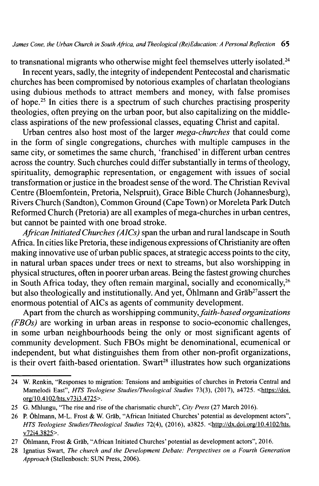to transnational migrants who otherwise might feel themselves utterly isolated.<sup>24</sup>

In recent years, sadly, the integrity of independent Pentecostal and charismatic churches has been compromised by notorious examples of charlatan theologians using dubious methods to attract members and money, with false promises of hope.25 In cities there is a spectrum of such churches practising prosperity theologies, often preying on the urban poor, but also capitalizing on the middleclass aspirations of the new professional classes, equating Christ and capital.

Urban centres also host most of the larger *mega-churches* that could come in the form of single congregations, churches with multiple campuses in the same city, or sometimes the same church, 'franchised' in different urban centres across the country. Such churches could differ substantially in terms of theology, spirituality, demographic representation, or engagement with issues of social transformation or justice in the broadest sense of the word. The Christian Revival Centre (Bloemfontein, Pretoria, Nelspruit), Grace Bible Church (Johannesburg), Rivers Church (Sandton), Common Ground (Cape Town) or Moreleta Park Dutch Reformed Church (Pretoria) are all examples of mega-churches in urban centres, but cannot be painted with one broad stroke.

*African InitiatedChurches (AICs)* span the urban and rural landscape in South Africa. In cities like Pretoria, these indigenous expressions of Christianity are often making innovative use of urban public spaces, at strategic access points to the city, in natural urban spaces under trees or next to streams, but also worshipping in physical structures, often in poorer urban areas. Being the fastest growing churches in South Africa today, they often remain marginal, socially and economically,  $26$ but also theologically and institutionally. And yet, Öhlmann and Gräb<sup>27</sup>assert the enormous potential ofAICs as agents of community development.

Apart from the church as worshipping community,*faith-based organizations (FBOs)* are working in urban areas in response to socio-economic challenges, in some urban neighbourhoods being the only or most significant agents of community development. Such FBOs might be denominational, ecumenical or independent, but what distinguishes them from other non-profit organizations, is their overt faith-based orientation. Swart<sup>28</sup> illustrates how such organizations

**<sup>24</sup> W. Renkin, "Responses to migration: Tensions and ambiguities of churches in Pretoria Central and Mamelodi East",** *HTS Teologiese Studies/Theological Studies* **73(3), (2017), a4725. <[https://doi.](https://doi.ore/10.4102/hts._v7313.4725) [ore/10.4102/hts.v7313.4725](https://doi.ore/10.4102/hts._v7313.4725)>.**

<sup>25</sup> G. **Mhlungu,** "The rise and rise of the charismatic church", City Press (27 March 2016).

**<sup>26</sup> P. Öhlmann, M-L. Frost & W. Gräb, "African Initiated Churches' potential as development actors",** *HTS Teologiese Studies/Theological Studies* **72(4), (2016), a3825. <http://dx.doi.**0**[rg/l0.4102/hts.](http://dx.doi.0rg/l0.4102/hts.v72i4.3825) [v72i4.3825>](http://dx.doi.0rg/l0.4102/hts.v72i4.3825).**

**<sup>27</sup> Öhlmann, Frost & Gräb, "African Initiated Churches' potential as development actors", 2016.**

**<sup>28</sup> Ignatius Swart,** *The church and the Development Debate: Perspectives on a Fourth Generation Approach* **(Stellenbosch: SUN Press, 2006).**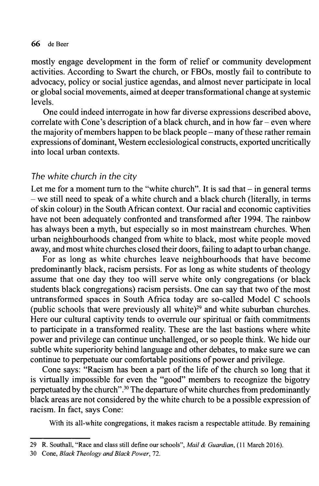mostly engage development in the form of relief or community development activities. According to Swart the church, or FBOs, mostly fail to contribute to advocacy, policy or social justice agendas, and almost never participate in local or global social movements, aimed at deeper transformational change at systemic levels.

One could indeed interrogate in how far diverse expressions described above, correlate with Cone's description of a black church, and in how  $far - even$  where the majority of members happen to be black people – many of these rather remain expressions of dominant, Western ecclesiological constructs, exported uncritically into local urban contexts.

#### *The white church in the city*

Let me for a moment turn to the "white church". It is sad that  $-$  in general terms - we still need to speak of <sup>a</sup> white church and <sup>a</sup> black church (literally, in terms ofskin colour) in the South African context. Our racial and economic captivities have not been adequately confronted and transformed after 1994. The rainbow has always been a myth, but especially so in most mainstream churches. When urban neighbourhoods changed from white to black, most white people moved away, and most white churches closed their doors, failing to adapt to urban change.

For as long as white churches leave neighbourhoods that have become predominantly black, racism persists. For as long as white students of theology assume that one day they too will serve white only congregations (or black students black congregations) racism persists. One can say that two of the most untransformed spaces in South Africa today are so-called Model C schools (public schools that were previously all white)<sup>29</sup> and white suburban churches. Here our cultural captivity tends to overrule our spiritual or faith commitments to participate in a transformed reality. These are the last bastions where white power and privilege can continue unchallenged, or so people think. We hide our subtle white superiority behind language and other debates, to make sure we can continue to perpetuate our comfortable positions of power and privilege.

Cone says: "Racism has been a part of the life of the church so long that it is virtually impossible for even the "good" members to recognize the bigotry perpetuated by the church".<sup>30</sup> The departure of white churches from predominantly black areas are not considered by the white church to be a possible expression of racism. In fact, says Cone:

**With its all-white congregations, it makes racism a respectable attitude. By remaining**

**<sup>29</sup> R. Southall, "Race and class still define our schools",** *Mail & Guardian***, (11 March 2016).**

**<sup>30</sup> Cone,** *Black Theology andBlack Power***, 72.**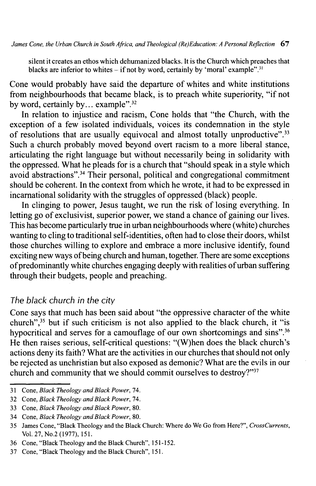**silent it creates an ethos which dehumanized blacks. It is the Church which preaches that blacks are inferior to whites -ifnot by word, certainly by 'moral' example**".31

Cone would probably have said the departure of whites and white institutions from neighbourhoods that became black, is to preach white superiority, "if not by word, certainly by... example".<sup>32</sup>

In relation to injustice and racism, Cone holds that "the Church, with the exception of a few isolated individuals, voices its condemnation in the style of resolutions that are usually equivocal and almost totally unproductive".<sup>33</sup> Such a church probably moved beyond overt racism to a more liberal stance, articulating the right language but without necessarily being in solidarity with the oppressed. What he pleads for is a church that "should speak in a style which avoid abstractions".34 Their personal, political and congregational commitment should be coherent. In the context from which he wrote, it had to be expressed in incamational solidarity with the struggles of oppressed (black) people.

In clinging to power, Jesus taught, we run the risk of losing everything. In letting go of exclusivist, superior power, we stand a chance of gaining our lives. This has become particularly true in urban neighbourhoods where (white) churches wanting to cling to traditional self-identities, often had to close their doors, whilst those churches willing to explore and embrace a more inclusive identify, found exciting new ways of being church and human, together. There are some exceptions of predominantly white churches engaging deeply with realities of urban suffering through their budgets, people and preaching.

## *The black church in the city*

Cone says that much has been said about "the oppressive character of the white church",35 but if such criticism is not also applied to the black church, it "is hypocritical and serves for a camouflage of our own shortcomings and sins".<sup>36</sup> He then raises serious, self-critical questions: "(W)hen does the black church's actions deny its faith? What are the activities in our churches that should not only be rejected as unchristian but also exposed as demonic? What are the evils in our church and community that we should commit ourselves to destroy?"37

**<sup>31</sup> Cone,** *Black Theology andBlack Power***, 74.**

**<sup>32</sup> Cone,** *Black Theology andBlack Power***, 74.**

**<sup>33</sup> Cone,** *Black Theology andBlack Power***, 80.**

**<sup>34</sup> Cone,** *Black Theology andBlack Power***, 80.**

**<sup>35</sup> James Cone, "Black Theology and the Black Church: Where do We Go from Here?",** *CrossCurrents***, Vol. 27, N0.2 (1977), 151.**

**<sup>36</sup> Cone, "Black Theology and the Black Church", 151152 .**

**<sup>37</sup> Cone, "Black Theology and the Black Church", 151.**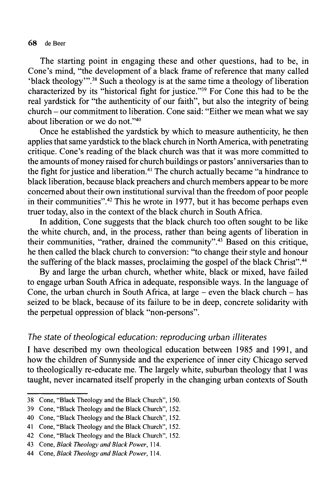The starting point in engaging these and other questions, had to be, in Cone's mind, "the development of a black frame of reference that many called  $60$  thack theology"<sup>38</sup> Such a theology is at the same time a theology of liberation characterized by its "historical fight for justice."39 For Cone this had to be the real yardstick for "the authenticity of our faith", but also the integrity of being church - our commitment to liberation. Cone said: "Either we mean what we say about liberation or we do not."40

Once he established the yardstick by which to measure authenticity, he then applies that same yardstick to the black church in NorthAmerica, with penetrating critique. Cone's reading of the black church was that it was more committed to the amounts of money raised for church buildings or pastors' anniversaries than to the fight for iustice and liberation.<sup>41</sup> The church actually became "a hindrance to black liberation, because black preachers and church members appear to be more concerned about their own institutional survival than the freedom of poor people in their communities".<sup>42</sup> This he wrote in 1977, but it has become perhaps even truer today, also in the context of the black church in South Africa.

In addition, Cone suggests that the black church too often sought to be like the white church, and, in the process, rather than being agents of liberation in their communities, "rather, drained the community". $43$  Based on this critique, he then called the black church to conversion: "to change their style and honour the suffering of the black masses, proclaiming the gospel of the black Christ".<sup>44</sup>

By and large the urban church, whether white, black or mixed, have failed to engage urban South Africa in adequate, responsible ways. In the language of Cone, the urban church in South Africa, at large – even the black church – has seized to be black, because of its failure to be in deep, concrete solidarity with the perpetual oppression of black "non-persons".

#### *The state oftheological education: reproducing urban illiterates*

I have described my own theological education between 1985 and 1991, and how the children of Sunnyside and the experience of inner city Chicago served to theologically re-educate me. The largely white, suburban theology that I was taught, never incarnated itself properly in the changing urban contexts of South

**<sup>38</sup> Cone, "Black Theology and the Black Church", 150.**

**<sup>39</sup> Cone, "Black Theology and the Black Church", 152.**

**<sup>40</sup> Cone, "Black Theology and the Black Church", 152.**

**<sup>41</sup> Cone, "Black Theology and the Black Church", 152.**

**<sup>42</sup> Cone, "Black Theology and the Black Church", 152.**

**<sup>43</sup> Cone,** *Black Theology andBlack Power***, 114.**

**<sup>44</sup> Cone,** *Black Theology andBlack Power***, 114.**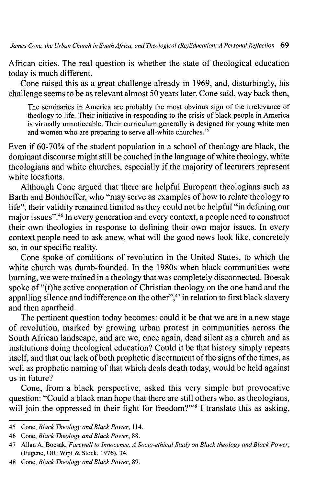African cities. The real question is whether the state of theological education today is much different.

Cone raised this as a great challenge already in 1969, and, disturbingly, his challenge seems to be as relevant almost 50 years later. Cone said, way back then,

**The seminaries in America are probably the most obvious sign of the irrelevance of theology to life. Their initiative in responding to the crisis of black people in America is virtually unnoticeable. Their curriculum generally is designed for young white men and women who are preparing to serve all-white churches**.45

Even if  $60-70\%$  of the student population in a school of theology are black, the dominant discourse might still be couched in the language of white theology, white theologians and white churches, especially if the majority of lecturers represent white locations.

Although Cone argued that there are helpful European theologians such as Barth and Bonhoeffer, who "may serve as examples of how to relate theology to life", their validity remained limited as they could not be helpful "in defining our major issues".46 In every generation and every context, a people need to construct their own theologies in response to defining their own major issues. In every context people need to ask anew, what will the good news look like, concretely so, in our specific reality.

Cone spoke of conditions of revolution in the United States, to which the white church was dumb-founded. In the 1980s when black communities were burning, we were trained in a theology that was completely disconnected. Boesak spoke of "(t)he active cooperation of Christian theology on the one hand and the appalling silence and indifference on the other",<sup>47</sup> in relation to first black slavery and then apartheid.

The pertinent question today becomes: could it be that we are in a new stage of revolution, marked by growing urban protest in communities across the South African landscape, and are we, once again, dead silent as a church and as institutions doing theological education? Could it be that history simply repeats itself, and that our lack of both prophetic discernment of the signs of the times, as well as prophetic naming of that which deals death today, would be held against us in future?

Cone, from a black perspective, asked this very simple but provocative question: "Could a black man hope that there are still others who, as theologians, will join the oppressed in their fight for freedom?"<sup>48</sup> I translate this as asking,

**<sup>45</sup> Cone,** *Black Theology andBlack Power***, 114.**

**<sup>46</sup> Cone,** *Black Theology andBlack Power***, 88.**

**<sup>47</sup> Allan A. Boesak,** *Farewell to Innocence. A Socio-ethical Study on Black theology andBlack Power***, (Eugene, OR: Wipf & Stock, 1976), 34.**

**<sup>48</sup> Cone,** *Black Theology andBlack Power,* **89.**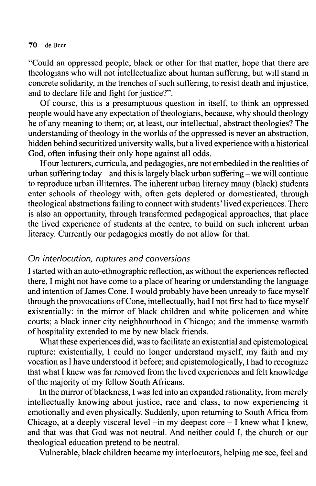"Could an oppressed people, black or other for that matter, hope that there are theologians who will not intellectualize about human suffering, but will stand in concrete solidarity, in the trenches of such suffering, to resist death and injustice, and to declare life and fight for justice?".

Of course, this is a presumptuous question in itself, to think an oppressed people would have any expectation of theologians, because, why should theology be of any meaning to them; or, at least, our intellectual, abstract theologies? The understanding of theology in the worlds of the oppressed is never an abstraction, hidden behind securitized university walls, but a lived experience with a historical God, often infusing their only hope against all odds.

Ifour lecturers, curricula, and pedagogies, are not embedded in the realities of urban suffering today – and this is largely black urban suffering – we will continue to reproduce urban illiterates. The inherent urban literacy many (black) students enter schools of theology with, often gets depleted or domesticated, through theological abstractions failing to connect with students' lived experiences. There is also an opportunity, through transformed pedagogical approaches, that place the lived experience of students at the centre, to build on such inherent urban literacy. Currently our pedagogies mostly do not allow for that.

#### *On interlocution, ruptures and conversions*

I started with an auto-ethnographic reflection, as without the experiences reflected there, I might not have come to a place of hearing or understanding the language and intention of James Cone. I would probably have been unready to face myself through the provocations of Cone, intellectually, had I not first had to face myself existentially: in the mirror of black children and white policemen and white courts; a black inner city neighbourhood in Chicago; and the immense warmth of hospitality extended to me by new black friends.

What these experiences did, was to facilitate an existential and epistemological rupture: existentially, I could no longer understand myself, my faith and my vocation as I have understood it before; and epistemologically, I had to recognize that what I knew was far removed from the lived experiences and felt knowledge of the majority of my fellow South Africans.

In the mirror of blackness, I was led into an expanded rationality, from merely intellectually knowing about justice, race and class, to now experiencing it emotionally and even physically. Suddenly, upon returning to South Africa from Chicago, at a deeply visceral level  $-\text{in}$  my deepest core  $-\text{I}$  knew what I knew, and that was that God was not neutral. And neither could I, the church or our theological education pretend to be neutral.

Vulnerable, black children became my interlocutors, helping me see, feel and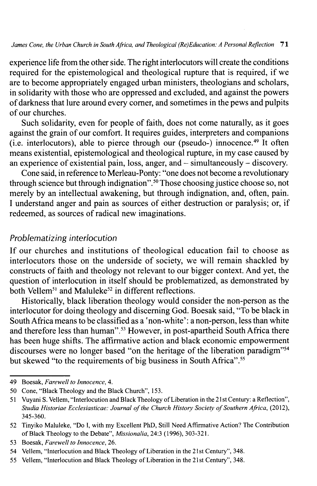experience life from the other side. The right interlocutors will create the conditions required for the epistemological and theological rupture that is required, if we are to become appropriately engaged urban ministers, theologians and scholars, in solidarity with those who are oppressed and excluded, and against the powers ofdarkness that lure around every comer, and sometimes in the pews and pulpits of our churches.

Such solidarity, even for people of faith, does not come naturally, as it goes against the grain of our comfort. It requires guides, interpreters and companions  $(i.e.$  interlocutors), able to pierce through our (pseudo-) innocence.<sup>49</sup> It often means existential, epistemological and theological rupture, in my case caused by an experience of existential pain, loss, anger, and - simultaneously - discovery.

Cone said, in reference to Merleau-Ponty: "one does not become a revolutionary through science but through indignation".<sup>50</sup> Those choosing justice choose so, not merely by an intellectual awakening, but through indignation, and, often, pain. I understand anger and pain as sources of either destruction or paralysis; or, if redeemed, as sources of radical new imaginations.

#### *Problematizing interlocution*

If our churches and institutions of theological education fail to choose as interlocutors those on the underside of society, we will remain shackled by constructs of faith and theology not relevant to our bigger context. And yet, the question of interlocution in itself should be problematized, as demonstrated by both Vellem<sup>51</sup> and Maluleke<sup>52</sup> in different reflections.

Historically, black liberation theology would consider the non-person as the interlocutor for doing theology and discerning God. Boesak said, "To be black in SouthAfrica means to be classified as a 'non-white' : a non-person, less than white and therefore less than human".<sup>53</sup> However, in post-apartheid South Africa there has been huge shifts. The affirmative action and black economic empowerment discourses were no longer based "on the heritage of the liberation paradigm"54 but skewed "to the requirements of big business in South Africa".<sup>55</sup>

**<sup>49</sup> Boesak,** *Farewell to Innocence***, 4.**

**<sup>50</sup> Cone, "Black Theology and the Black Church", 153.**

**<sup>51</sup> Vuyani S. Vellem, "Interlocution and Black Theology ofLiberation in the 21 st Century: a Reflection",** *Studia Historiae Ecclesiasticae: Journal ofthe Church History Society ofSouthern Africa***, (2012), 345 360.**

**<sup>52</sup> Tinyiko Maluleke, "Do I, with my Excellent PhD, Still Need Affirmative Action? The Contribution ofBlack Theology to the Debate",** *Missionalia,* **24:3 (1996), 303321 .**

**<sup>53</sup> Boesak,** *Farewell to Innocence,* **26.**

**<sup>54</sup> Vellem, "Interlocution and Black Theology ofLiberation in the 21st Century", 348.**

**<sup>55</sup> Vellem, "Interlocution and Black Theology ofLiberation in the 21st Century", 348.**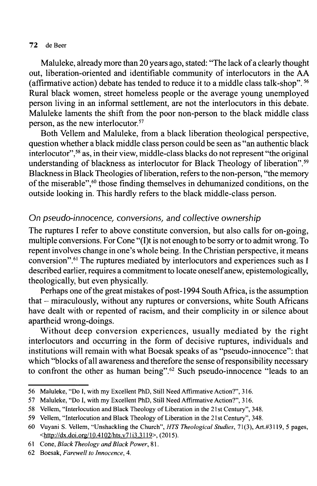Maluleke, already more than 20 years ago, stated: "The lack of a clearly thought out, liberation-oriented and identifiable community of interlocutors in the AA (affirmative action) debate has tended to reduce it to a middle class talk-shop".56 Rural black women, street homeless people or the average young unemployed person living in an informal settlement, are not the interlocutors in this debate. Maluleke laments the shift from the poor non-person to the black middle class person, as the new interlocutor.<sup>57</sup>

Both Vellem and Maluleke, from a black liberation theological perspective, question whether a black middle class person could be seen as "an authentic black interlocutor",<sup>58</sup> as, in their view, middle-class blacks do not represent "the original understanding of blackness as interlocutor for Black Theology of liberation".<sup>59</sup> Blackness in Black Theologies of liberation, refers to the non-person, "the memory of the miserable",<sup>60</sup> those finding themselves in dehumanized conditions, on the outside looking in. This hardly refers to the black middle-class person.

#### *On pseudo-innocence***,** *conversions***,** *and collective ownership*

The ruptures I refer to above constitute conversion, but also calls for on-going, multiple conversions. For Cone "(I)t is not enough to be sorry or to admit wrong. To repent involves change in one's whole being. In the Christian perspective, it means conversion".61 The ruptures mediated by interlocutors and experiences such as I described earlier, requires a commitment to locate oneself anew, epistemologically, theologically, but even physically.

Perhaps one of the great mistakes of post-1994 South Africa, is the assumption that - miraculously, without any ruptures or conversions, white South Africans have dealt with or repented of racism, and their complicity in or silence about apartheid wrong-doings.

Without deep conversion experiences, usually mediated by the right interlocutors and occurring in the form of decisive ruptures, individuals and institutions will remain with what Boesak speaks of as "pseudo-innocence": that which "blocks of all awareness and therefore the sense of responsibility necessary to confront the other as human being".<sup>62</sup> Such pseudo-innocence "leads to an

**<sup>56</sup> Maluleke, "Do I, with my Excellent PhD, Still Need Affirmative Action?", 316.**

**<sup>57</sup> Maluleke, "Do I, with my Excellent PhD, Still Need Affirmative Action?", 316.**

**<sup>58</sup> Vellem, "Interlocution and Black Theology ofLiberation in the 21 st Century", 348.**

**<sup>59</sup> Vellem, "Interlocution and Black Theology ofLiberation in the 21 st Century", 348.**

**<sup>60</sup> Vuyani S. Vellem, "Unshackling the Church",** *HTS Theological Studies,* **71(3), Art.#3119, 5 pages, [<http://dx.doi.org/10.4102/hts.v7113.3119>](http://dx.doi.org/10.4102/hts.v7113.3119). (2015).**

**<sup>61</sup> Cone,** *Black Theology andBlack Power***, 81.**

**<sup>62</sup> Boesak,** *Farewell to Innocence***, 4.**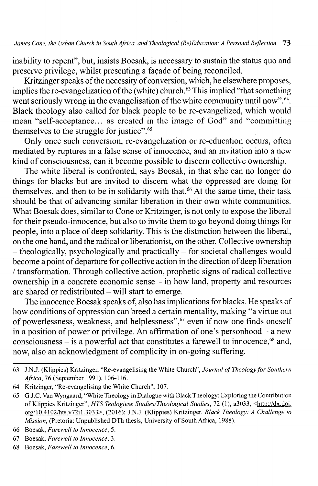inability to repent", but, insists Boesak, is necessary to sustain the status quo and preserve privilege, whilst presenting a façade of being reconciled.

Kritzinger speaks of the necessity of conversion, which, he elsewhere proposes, implies the re-evangelization of the (white) church.<sup>63</sup> This implied "that something went seriously wrong in the evangelisation of the white community until now".<sup>64</sup>. Black theology also called for black people to be re-evangelized, which would mean "self-acceptance... as created in the image of God" and "committing themselves to the struggle for justice". $65$ 

Only once such conversion, re-evangelization or re-education occurs, often mediated by ruptures in a false sense of innocence, and an invitation into a new kind of consciousness, can it become possible to discern collective ownership.

The white liberal is confronted, says Boesak, in that s/he can no longer do things for blacks but are invited to discern what the oppressed are doing for themselves, and then to be in solidarity with that.<sup>66</sup> At the same time, their task should be that of advancing similar liberation in their own white communities. What Boesak does, similar to Cone or Kritzinger, is not only to expose the liberal for their pseudo-innocence, but also to invite them to go beyond doing things for people, into a place of deep solidarity. This is the distinction between the liberal, on the one hand, and the radical or liberationist, on the other. Collective ownership  $-$ theologically, psychologically and practically  $-$  for societal challenges would become a point of departure for collective action in the direction of deep liberation / transformation. Through collective action, prophetic signs ofradical collective ownership in <sup>a</sup> concrete economic sense - in how land, property and resources are shared or redistributed - will start to emerge.

The innocence Boesak speaks of, also has implications for blacks. He speaks of how conditions of oppression can breed a certain mentality, making "a virtue out of powerlessness, weakness, and helplessness", $67$  even if now one finds oneself in a position of power or privilege. An affirmation of one's personhood  $-$  a new consciousness  $-$  is a powerful act that constitutes a farewell to innocence,<sup>68</sup> and, now, also an acknowledgment of complicity in on-going suffering.

**<sup>63</sup> J.N.J. (Klippies) Kritzinger, "Re-evangelising the White Church",** *Journal ofTheologyfor Southern Africa,* **76 (September 1991), 106-116.**

**<sup>64</sup> Kritzinger, "Re-evangelising the White Church", 107.**

**<sup>65</sup> G.J.C. Van Wyngaard, "White Theology in Dialogue with Black Theology: Exploring the Contribution of Klippies Kritzinger",** *HTS Teologiese Studies/Theological Studies,* **72 (1), a3033, [<http://dx.doi.](http://dx.doi.org/10.4102/hts.v72il.3033) [org/10.4102/hts.v72il.3033](http://dx.doi.org/10.4102/hts.v72il.3033)>. (2016); J.N.J. (Klippies) Kritzinger,** *Black Theology: A Challenge to Mission,* **(Pretoria: Unpublished DTh thesis, University of South Africa, 1988).**

**<sup>66</sup> Boesak,** *Farewell to Innocence,* **5.**

**<sup>67</sup> Boesak,** *Farewell to Innocence,* **3.**

**<sup>68</sup> Boesak,** *Farewell to Innocence,* **6.**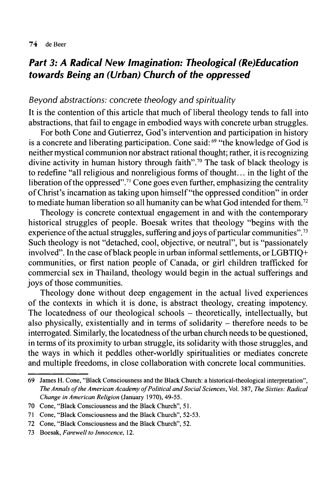# *Part 3: A Radical New Imagination: Theological (Re)Education towards Being an (Urban) Church of the oppressed*

#### *Beyond abstractions: concrete theology and spirituality*

It is the contention of this article that much of liberal theology tends to fall into abstractions, that fail to engage in embodied ways with concrete urban struggles.

For both Cone and Gutierrez, God's intervention and participation in history is a concrete and liberating participation. Cone said:<sup>69</sup> "the knowledge of God is neither mystical communion nor abstract rational thought; rather, it is recognizing divine activity in human history through faith".70 The task of black theology is to redefine "all religious and nonreligious forms of thought... in the light of the liberation of the oppressed".<sup>71</sup> Cone goes even further, emphasizing the centrality ofChrist's incarnation as taking upon himself "the oppressed condition" in order to mediate human liberation so all humanity can be what God intended for them.<sup>72</sup>

Theology is concrete contextual engagement in and with the contemporary historical struggles of people. Boesak writes that theology "begins with the experience of the actual struggles, suffering and joys of particular communities".<sup>73</sup> Such theology is not "detached, cool, objective, or neutral", but is "passionately involved". In the case of black people in urban informal settlements, or  $LGBTIQ+$ communities, or first nation people of Canada, or girl children trafficked for commercial sex in Thailand, theology would begin in the actual sufferings and joys of those communities.

Theology done without deep engagement in the actual lived experiences of the contexts in which it is done, is abstract theology, creating impotency. The locatedness of our theological schools – theoretically, intellectually, but also physically, existentially and in terms of solidarity  $-$  therefore needs to be interrogated. Similarly, the locatedness ofthe urban church needs to be questioned, in terms of its proximity to urban struggle, its solidarity with those struggles, and the ways in which it peddles other-worldly spiritualities or mediates concrete and multiple freedoms, in close collaboration with concrete local communities.

**<sup>69</sup> James H. Cone, "Black Consciousness and the Black Church: a historical-theological interpretation",** *The Annals oftheAmerican Academy ofPolitical andSocial Sciences,* **Vol. 387,** *The Sixties: Radical Change in American Religion* **(January 1970), 4955 .**

**<sup>70</sup> Cone, "Black Consciousness and the Black Church", 51.**

**<sup>71</sup> Cone, "Black Consciousness and the Black Church", 5253 .**

**<sup>72</sup> Cone, "Black Consciousness and the Black Church", 52.**

**<sup>73</sup> Boesak,** *Farewell to Innocence,* **12.**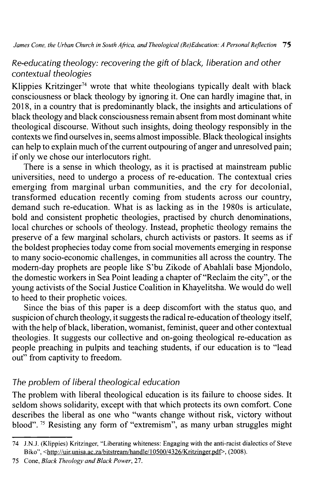## *Re-educating theology: recovering the gift of black, liberation and other contextual theologies*

Klippies Kritzinger<sup>74</sup> wrote that white theologians typically dealt with black consciousness or black theology by ignoring it. One can hardly imagine that, in 2018, in a country that is predominantly black, the insights and articulations of black theology and black consciousness remain absent from most dominant white theological discourse. Without such insights, doing theology responsibly in the contexts we find ourselves in, seems almostimpossible. Black theological insights can help to explain much of the current outpouring of anger and unresolved pain; if only we chose our interlocutors right.

There is a sense in which theology, as it is practised at mainstream public universities, need to undergo a process of re-education. The contextual cries emerging from marginal urban communities, and the cry for decolonial, transformed education recently coming from students across our country, demand such re-education. What is as lacking as in the 1980s is articulate, bold and consistent prophetic theologies, practised by church denominations, local churches or schools of theology. Instead, prophetic theology remains the preserve of a few marginal scholars, church activists or pastors. It seems as if the boldest prophecies today come from social movements emerging in response to many socio-economic challenges, in communities all across the country. The modern-day prophets are people like S'bu Zikode of Abahlali base Mjondolo, the domestic workers in Sea Point leading a chapter of "Reclaim the city", or the young activists ofthe Social Justice Coalition in Khayelitsha. We would do well to heed to their prophetic voices.

Since the bias of this paper is a deep discomfort with the status quo, and suspicion of church theology, it suggests the radical re-education of theology itself, with the help of black, liberation, womanist, feminist, queer and other contextual theologies. It suggests our collective and on-going theological re-education as people preaching in pulpits and teaching students, if our education is to "lead out" from captivity to freedom.

## *The problem of liberal theological education*

The problem with liberal theological education is its failure to choose sides. It seldom shows solidarity, except with that which protects its own comfort. Cone describes the liberal as one who "wants change without risk, victory without blood".75 Resisting any form of "extremism", as many urban struggles might

**<sup>74</sup> J.N.J. (Klippies) Kritzinger, "Liberating whiteness: Engaging with the anti-racist dialectics of Steve Biko", [<http://uir.unisa.ac.za/bitstream/handle/10500/4326/Kritzinger.pdf>](http://uir.unisa.ac.za/bitstream/handle/10500/4326/Kritzinger.pdf). (2008).**

**<sup>75</sup> Cone,** *Black Theology andBlack Power,* **27.**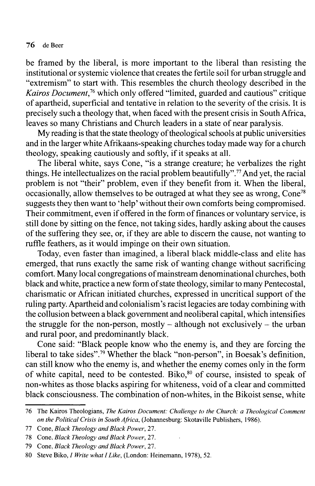be framed by the liberal, is more important to the liberal than resisting the institutional or systemic violence that createsthe fertile soil for urban struggle and "extremism" to start with. This resembles the church theology described in the *Kairos Document*,76 which only offered "limited, guarded and cautious" critique of apartheid, superficial and tentative in relation to the severity of the crisis. It is precisely such a theology that, when faced with the present crisis in South Africa, leaves so many Christians and Church leaders in a state of near paralysis.

My reading is that the state theology of theological schools at public universities and in the larger white Afrikaans-speaking churches today made way for a church theology, speaking cautiously and softly, if it speaks at all.

The liberal white, says Cone, "is a strange creature; he verbalizes the right things. He intellectualizes on the racial problem beautifully".77 And yet, the racial problem is not "their" problem, even if they benefit from it. When the liberal, occasionally, allow themselves to be outraged at what they see as wrong, Cone78 suggests they then want to 'help' without their own comforts being compromised. Their commitment, even if offered in the form of finances or voluntary service, is still done by sitting on the fence, not taking sides, hardly asking about the causes of the suffering they see, or, if they are able to discern the cause, not wanting to ruffle feathers, as it would impinge on their own situation.

Today, even faster than imagined, a liberal black middle-class and elite has emerged, that runs exactly the same risk of wanting change without sacrificing comfort. Many local congregations of mainstream denominational churches, both black and white, practice a new form of state theology, similar to many Pentecostal, charismatic or African initiated churches, expressed in uncritical support of the ruling party. Apartheid and colonialism's racistlegacies are today combining with the collusion between a black government and neoliberal capital, which intensifies the struggle for the non-person, mostly – although not exclusively – the urban and rural poor, and predominantly black.

Cone said: "Black people know who the enemy is, and they are forcing the liberal to take sides".<sup>79</sup> Whether the black "non-person", in Boesak's definition, can still know who the enemy is, and whether the enemy comes only in the form of white capital, need to be contested. Biko,<sup>80</sup> of course, insisted to speak of non-whites as those blacks aspiring for whiteness, void of a clear and committed black consciousness. The combination of non-whites, in the Bikoist sense, white

**<sup>76</sup> The Kairos Theologians,** *The Kairos Document: Challenge to the Church: a Theological Comment on the Political Crisis in South Africa,* **(Johannesburg: Skotaville Publishers, 1986).**

**<sup>77</sup> Cone,** *Black Theology andBlack Power***, 27.**

**<sup>78</sup> Cone,** *Black Theology andBlack Power***, 27.**

<sup>79</sup> Cone, *Black Theology and Black Power*, 27.

**<sup>80</sup> Steve Biko,** *I Write whatILike,* **(London: Heinemann, 1978), 52.**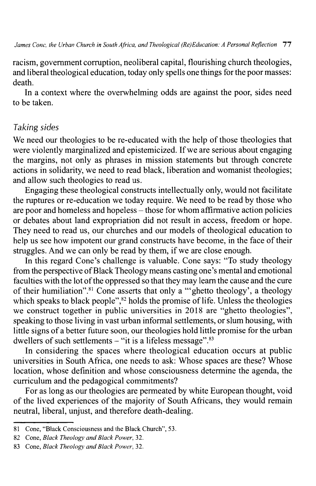racism, government corruption, neoliberal capital, flourishing church theologies, and liberal theological education, today only spells one things for the poor masses: death.

In a context where the overwhelming odds are against the poor, sides need to be taken.

## *Taking sides*

We need our theologies to be re-educated with the help of those theologies that were violently marginalized and epistemicized. If we are serious about engaging the margins, not only as phrases in mission statements but through concrete actions in solidarity, we need to read black, liberation and womanist theologies; and allow such theologies to read us.

Engaging these theological constructs intellectually only, would not facilitate the ruptures or re-education we today require. We need to be read by those who are poor and homeless and hopeless - those for whom affirmative action policies or debates about land expropriation did not result in access, freedom or hope. They need to read us, our churches and our models of theological education to help us see how impotent our grand constructs have become, in the face of their struggles. And we can only be read by them, if we are close enough.

In this regard Cone's challenge is valuable. Cone says: "To study theology from the perspective ofBlack Theology means casting one's mental and emotional faculties with the lot of the oppressed so that they may learn the cause and the cure of their humiliation".81 Cone asserts that only a '"ghetto theology', a theology which speaks to black people",<sup>82</sup> holds the promise of life. Unless the theologies we construct together in public universities in 2018 are "ghetto theologies", speaking to those living in vast urban informal settlements, or slum housing, with little signs of a better future soon, our theologies hold little promise for the urban dwellers of such settlements  $-$  "it is a lifeless message".<sup>83</sup>

In considering the spaces where theological education occurs at public universities in South Africa, one needs to ask: Whose spaces are these? Whose location, whose definition and whose consciousness determine the agenda, the curriculum and the pedagogical commitments?

For as long as our theologies are permeated by white European thought, void of the lived experiences of the majority of South Africans, they would remain neutral, liberal, unjust, and therefore death-dealing.

**<sup>81</sup> Cone, "Black Consciousness and the Black Church", 53.**

<sup>82</sup> Cone, *Black Theology and Black Power*, 32.

**<sup>83</sup> Cone,** *Black Theology andBlack Power***, 32.**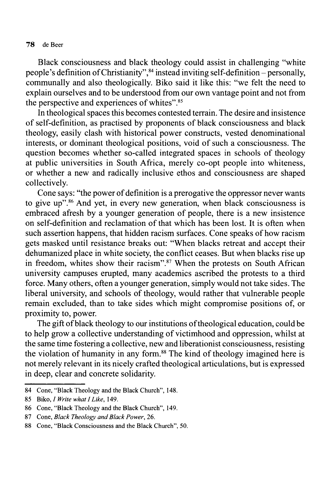Black consciousness and black theology could assist in challenging "white people's definition of Christianity",<sup>84</sup> instead inviting self-definition - personally, communally and also theologically. Biko said it like this: "we felt the need to explain ourselves and to be understood from our own vantage point and not from the perspective and experiences of whites".<sup>85</sup>

In theological spaces this becomes contested terrain. The desire and insistence of self-definition, as practised by proponents of black consciousness and black theology, easily clash with historical power constructs, vested denominational interests, or dominant theological positions, void of such a consciousness. The question becomes whether so-called integrated spaces in schools of theology at public universities in South Africa, merely co-opt people into whiteness, or whether a new and radically inclusive ethos and consciousness are shaped collectively.

Cone says: "the power of definition is a prerogative the oppressor never wants to give up".86 And yet, in every new generation, when black consciousness is embraced afresh by a younger generation of people, there is a new insistence on self-definition and reclamation of that which has been lost. It is often when such assertion happens, that hidden racism surfaces. Cone speaks of how racism gets masked until resistance breaks out: "When blacks retreat and accept their dehumanized place in white society, the conflict ceases. But when blacks rise up in freedom, whites show their racism".<sup>87</sup> When the protests on South African university campuses erupted, many academics ascribed the protests to a third force. Many others, often a younger generation, simply would not take sides. The liberal university, and schools of theology, would rather that vulnerable people remain excluded, than to take sides which might compromise positions of, or proximity to, power.

The gift of black theology to our institutions of theological education, could be to help grow a collective understanding of victimhood and oppression, whilst at the same time fostering a collective, new and liberationist consciousness, resisting the violation of humanity in any form.<sup>88</sup> The kind of theology imagined here is not merely relevantin its nicely crafted theological articulations, but is expressed in deep, clear and concrete solidarity.

**<sup>84</sup> Cone, "Black Theology and the Black Church", 148.**

**<sup>85</sup> Biko,** *I Write whatILike,* **149.**

**<sup>86</sup> Cone, "Black Theology and the Black Church", 149.**

<sup>87</sup> Cone, *Black Theology and Black Power*, 26.

**<sup>88</sup> Cone, "Black Consciousness and the Black Church", 50.**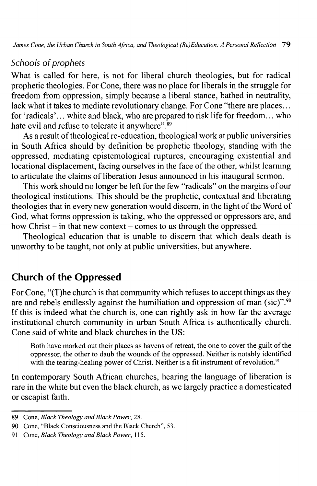### *Schools of prophets*

What is called for here, is not for liberal church theologies, but for radical prophetic theologies. For Cone, there was no place for liberals in the struggle for freedom from oppression, simply because a liberal stance, bathed in neutrality, lack what it takes to mediate revolutionary change. For Cone "there are places... for 'radicals'... white and black, who are prepared to risk life for freedom... who hate evil and refuse to tolerate it anywhere".<sup>89</sup>

As a result of theological re-education, theological work at public universities in South Africa should by definition be prophetic theology, standing with the oppressed, mediating epistemological ruptures, encouraging existential and locational displacement, facing ourselves in the face of the other, whilst learning to articulate the claims of liberation Jesus announced in his inaugural sermon.

This work should no longer be left for the few "radicals" on the margins of our theological institutions. This should be the prophetic, contextual and liberating theologies that in every new generation would discern, in the light of the Word of God, what forms oppression is taking, who the oppressed or oppressors are, and how Christ  $-$  in that new context  $-$  comes to us through the oppressed.

Theological education that is unable to discern that which deals death is unworthy to be taught, not only at public universities, but anywhere.

# **Church of the Oppressed**

For Cone, "(T)he church is that community which refuses to accept things as they are and rebels endlessly against the humiliation and oppression of man (sic)".<sup>90</sup> If this is indeed what the church is, one can rightly ask in how far the average institutional church community in urban South Africa is authentically church. Cone said of white and black churches in the US:

**Both have marked out their places as havens of retreat, the one to cover the guilt ofthe oppressor, the other to daub the wounds ofthe oppressed. Neither is notably identified with the tearing-healing power of Christ. Neither is a fit instrument of revolution**.91

In contemporary South African churches, hearing the language of liberation is rare in the white but even the black church, as we largely practice a domesticated or escapist faith.

<sup>89</sup> Cone, *Black Theology and Black Power*, 28.

**<sup>90</sup> Cone, "Black Consciousness and the Black Church", 53.**

**<sup>91</sup> Cone,** *Black Theology andBlack Power***, 115.**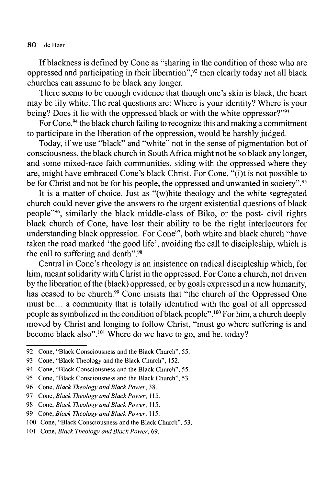If blackness is defined by Cone as "sharing in the condition of those who are oppressed and participating in their liberation<sup>", 92</sup> then clearly today not all black churches can assume to be black any longer.

There seems to be enough evidence that though one's skin is black, the heart may be lily white. The real questions are: Where is your identity? Where is your being? Does it lie with the oppressed black or with the white oppressor?"<sup>93</sup>

For Cone,<sup>94</sup> the black church failing to recognize this and making a commitment to participate in the liberation of the oppression, would be harshly judged.

Today, if we use "black" and "white" not in the sense of pigmentation but of consciousness, the black church in South Africa might not be so black any longer, and some mixed-race faith communities, siding with the oppressed where they are, might have embraced Cone's black Christ. For Cone, "(i)t is not possible to be for Christ and not be for his people, the oppressed and unwanted in society".<sup>95</sup>

It is a matter of choice. Just as "(w)hite theology and the white segregated church could never give the answers to the urgent existential questions of black people"96, similarly the black middle-class of Biko, or the post- civil rights black church of Cone, have lost their ability to be the right interlocutors for understanding black oppression. For Cone<sup>97</sup>, both white and black church "have taken the road marked 'the good life', avoiding the call to discipleship, which is the call to suffering and death".98

Central in Cone's theology is an insistence on radical discipleship which, for him, meant solidarity with Christ in the oppressed. For Cone a church, not driven by the liberation of the (black) oppressed, or by goals expressed in a new humanity. has ceased to be church.<sup>99</sup> Cone insists that "the church of the Oppressed One must be... a community that is totally identified with the goal of all oppressed people as symbolized in the condition ofblack people".100 For him, a church deeply moved by Christ and longing to follow Christ, "must go where suffering is and become black also".<sup>101</sup> Where do we have to go, and be, today?

**<sup>92</sup> Cone, "Black Consciousness and the Black Church", 55.**

**<sup>93</sup> Cone, "Black Theology and the Black Church", 152.**

**<sup>94</sup> Cone, "Black Consciousness and the Black Church", 55.**

**<sup>95</sup> Cone, "Black Consciousness and the Black Church", 53.**

**<sup>96</sup> Cone,** *Black Theology andBlack Power***, 38.**

**<sup>97</sup> Cone,** *Black Theology andBlack Power***, 115.**

**<sup>98</sup> Cone,** *Black Theology andBlack Power***, 115.**

**<sup>99</sup> Cone,** *Black Theology andBlack Power***, 115.**

**<sup>100</sup> Cone, "Black Consciousness and the Black Church", 53.**

<sup>101</sup> Cone, *Black Theology and Black Power*, 69.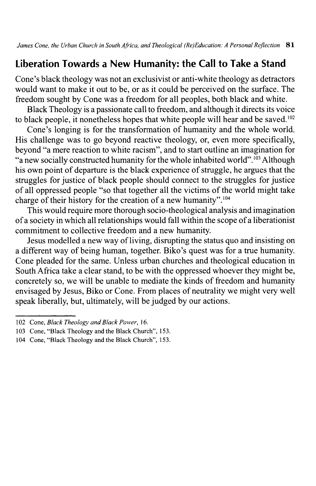# **Liberation Towards a New Humanity: the Call to Take a Stand**

Cone's black theology was not an exclusivist or anti-white theology as detractors would want to make it out to be, or as it could be perceived on the surface. The freedom sought by Cone was a freedom for all peoples, both black and white.

Black Theology is a passionate call to freedom, and although it directs its voice to black people, it nonetheless hopes that white people will hear and be saved.<sup>102</sup>

Cone's longing is for the transformation of humanity and the whole world. His challenge was to go beyond reactive theology, or, even more specifically, beyond "a mere reaction to white racism", and to start outline an imagination for "a new socially constructed humanity for the whole inhabited world".<sup>103</sup> Although his own point of departure is the black experience of struggle, he argues that the struggles for justice of black people should connect to the struggles for justice of all oppressed people "so that together all the victims ofthe world might take charge of their history for the creation of a new humanity".<sup>104</sup>

This would require more thorough socio-theological analysis and imagination ofa society in which all relationships would fall within the scope ofa liberationist commitment to collective freedom and a new humanity.

Jesus modelled a new way of living, disrupting the status quo and insisting on a different way of being human, together. Biko's quest was for a true humanity. Cone pleaded for the same. Unless urban churches and theological education in South Africa take a clear stand, to be with the oppressed whoever they might be, concretely so, we will be unable to mediate the kinds of freedom and humanity envisaged by Jesus, Biko or Cone. From places of neutrality we might very well speak liberally, but, ultimately, will be judged by our actions.

**<sup>102</sup> Cone,** *Black Theology andBlack Power***, 16.**

**<sup>103</sup> Cone, "Black Theology and the Black Church", 153.**

**<sup>104</sup> Cone, "Black Theology and the Black Church", 153.**